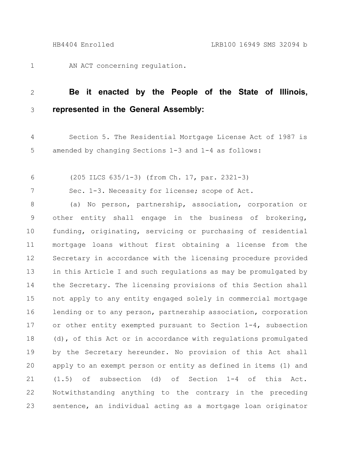1

AN ACT concerning regulation.

## **Be it enacted by the People of the State of Illinois, represented in the General Assembly:** 2 3

Section 5. The Residential Mortgage License Act of 1987 is amended by changing Sections 1-3 and 1-4 as follows: 4 5

(205 ILCS 635/1-3) (from Ch. 17, par. 2321-3) 6

7

Sec. 1-3. Necessity for license; scope of Act.

(a) No person, partnership, association, corporation or other entity shall engage in the business of brokering, funding, originating, servicing or purchasing of residential mortgage loans without first obtaining a license from the Secretary in accordance with the licensing procedure provided in this Article I and such regulations as may be promulgated by the Secretary. The licensing provisions of this Section shall not apply to any entity engaged solely in commercial mortgage lending or to any person, partnership association, corporation or other entity exempted pursuant to Section 1-4, subsection (d), of this Act or in accordance with regulations promulgated by the Secretary hereunder. No provision of this Act shall apply to an exempt person or entity as defined in items (1) and (1.5) of subsection (d) of Section 1-4 of this Act. Notwithstanding anything to the contrary in the preceding sentence, an individual acting as a mortgage loan originator 8 9 10 11 12 13 14 15 16 17 18 19 20 21 22 23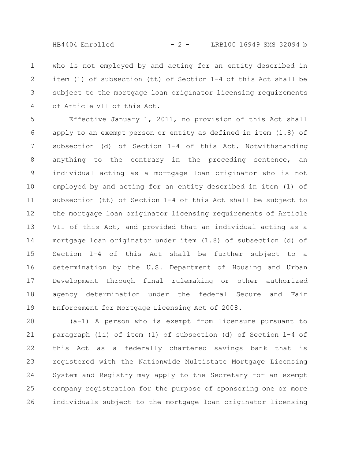HB4404 Enrolled - 2 - LRB100 16949 SMS 32094 b

who is not employed by and acting for an entity described in item (1) of subsection (tt) of Section 1-4 of this Act shall be subject to the mortgage loan originator licensing requirements of Article VII of this Act. 1 2 3 4

Effective January 1, 2011, no provision of this Act shall apply to an exempt person or entity as defined in item (1.8) of subsection (d) of Section 1-4 of this Act. Notwithstanding anything to the contrary in the preceding sentence, an individual acting as a mortgage loan originator who is not employed by and acting for an entity described in item (1) of subsection (tt) of Section 1-4 of this Act shall be subject to the mortgage loan originator licensing requirements of Article VII of this Act, and provided that an individual acting as a mortgage loan originator under item (1.8) of subsection (d) of Section 1-4 of this Act shall be further subject to a determination by the U.S. Department of Housing and Urban Development through final rulemaking or other authorized agency determination under the federal Secure and Fair Enforcement for Mortgage Licensing Act of 2008. 5 6 7 8 9 10 11 12 13 14 15 16 17 18 19

(a-1) A person who is exempt from licensure pursuant to paragraph (ii) of item (1) of subsection (d) of Section 1-4 of this Act as a federally chartered savings bank that is registered with the Nationwide Multistate Mortgage Licensing System and Registry may apply to the Secretary for an exempt company registration for the purpose of sponsoring one or more individuals subject to the mortgage loan originator licensing 20 21 22 23 24 25 26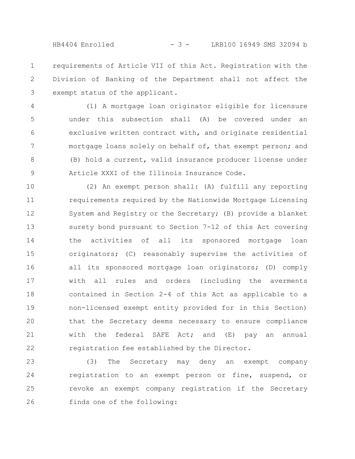HB4404 Enrolled - 3 - LRB100 16949 SMS 32094 b

requirements of Article VII of this Act. Registration with the Division of Banking of the Department shall not affect the exempt status of the applicant. 1 2 3

(1) A mortgage loan originator eligible for licensure under this subsection shall (A) be covered under an exclusive written contract with, and originate residential mortgage loans solely on behalf of, that exempt person; and (B) hold a current, valid insurance producer license under Article XXXI of the Illinois Insurance Code. 4 5 6 7 8 9

(2) An exempt person shall: (A) fulfill any reporting requirements required by the Nationwide Mortgage Licensing System and Registry or the Secretary; (B) provide a blanket surety bond pursuant to Section 7-12 of this Act covering the activities of all its sponsored mortgage loan originators; (C) reasonably supervise the activities of all its sponsored mortgage loan originators; (D) comply with all rules and orders (including the averments contained in Section 2-4 of this Act as applicable to a non-licensed exempt entity provided for in this Section) that the Secretary deems necessary to ensure compliance with the federal SAFE Act; and (E) pay an annual registration fee established by the Director. 10 11 12 13 14 15 16 17 18 19 20 21 22

(3) The Secretary may deny an exempt company registration to an exempt person or fine, suspend, or revoke an exempt company registration if the Secretary finds one of the following: 23 24 25 26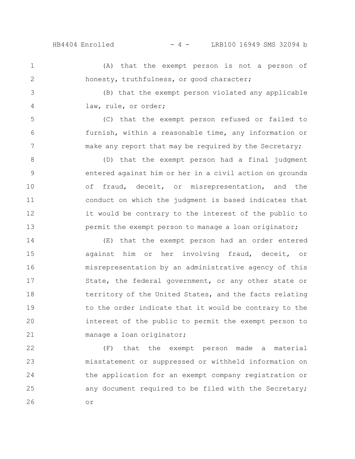5

6

7

HB4404 Enrolled - 4 - LRB100 16949 SMS 32094 b

(A) that the exempt person is not a person of honesty, truthfulness, or good character; 1 2

(B) that the exempt person violated any applicable law, rule, or order; 3 4

(C) that the exempt person refused or failed to furnish, within a reasonable time, any information or make any report that may be required by the Secretary;

(D) that the exempt person had a final judgment entered against him or her in a civil action on grounds of fraud, deceit, or misrepresentation, and the conduct on which the judgment is based indicates that it would be contrary to the interest of the public to permit the exempt person to manage a loan originator; 8 9 10 11 12 13

(E) that the exempt person had an order entered against him or her involving fraud, deceit, or misrepresentation by an administrative agency of this State, the federal government, or any other state or territory of the United States, and the facts relating to the order indicate that it would be contrary to the interest of the public to permit the exempt person to manage a loan originator; 14 15 16 17 18 19 20 21

(F) that the exempt person made a material misstatement or suppressed or withheld information on the application for an exempt company registration or any document required to be filed with the Secretary; or 22 23 24 25 26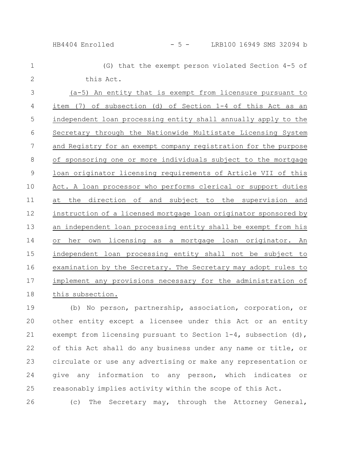HB4404 Enrolled - 5 - LRB100 16949 SMS 32094 b

(G) that the exempt person violated Section 4-5 of this Act. (a-5) An entity that is exempt from licensure pursuant to item (7) of subsection (d) of Section 1-4 of this Act as an independent loan processing entity shall annually apply to the Secretary through the Nationwide Multistate Licensing System and Registry for an exempt company registration for the purpose of sponsoring one or more individuals subject to the mortgage loan originator licensing requirements of Article VII of this Act. A loan processor who performs clerical or support duties at the direction of and subject to the supervision and instruction of a licensed mortgage loan originator sponsored by an independent loan processing entity shall be exempt from his or her own licensing as a mortgage loan originator. An independent loan processing entity shall not be subject to examination by the Secretary. The Secretary may adopt rules to implement any provisions necessary for the administration of this subsection. 1 2 3 4 5 6 7 8 9 10 11 12 13 14 15 16 17 18

(b) No person, partnership, association, corporation, or other entity except a licensee under this Act or an entity exempt from licensing pursuant to Section 1-4, subsection (d), of this Act shall do any business under any name or title, or circulate or use any advertising or make any representation or give any information to any person, which indicates or reasonably implies activity within the scope of this Act. 19 20 21 22 23 24 25

(c) The Secretary may, through the Attorney General, 26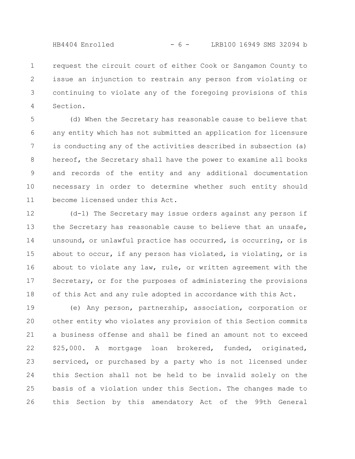HB4404 Enrolled - 6 - LRB100 16949 SMS 32094 b

request the circuit court of either Cook or Sangamon County to issue an injunction to restrain any person from violating or continuing to violate any of the foregoing provisions of this Section. 1 2 3 4

(d) When the Secretary has reasonable cause to believe that any entity which has not submitted an application for licensure is conducting any of the activities described in subsection (a) hereof, the Secretary shall have the power to examine all books and records of the entity and any additional documentation necessary in order to determine whether such entity should become licensed under this Act. 5 6 7 8 9 10 11

(d-1) The Secretary may issue orders against any person if the Secretary has reasonable cause to believe that an unsafe, unsound, or unlawful practice has occurred, is occurring, or is about to occur, if any person has violated, is violating, or is about to violate any law, rule, or written agreement with the Secretary, or for the purposes of administering the provisions of this Act and any rule adopted in accordance with this Act. 12 13 14 15 16 17 18

(e) Any person, partnership, association, corporation or other entity who violates any provision of this Section commits a business offense and shall be fined an amount not to exceed \$25,000. A mortgage loan brokered, funded, originated, serviced, or purchased by a party who is not licensed under this Section shall not be held to be invalid solely on the basis of a violation under this Section. The changes made to this Section by this amendatory Act of the 99th General 19 20 21 22 23 24 25 26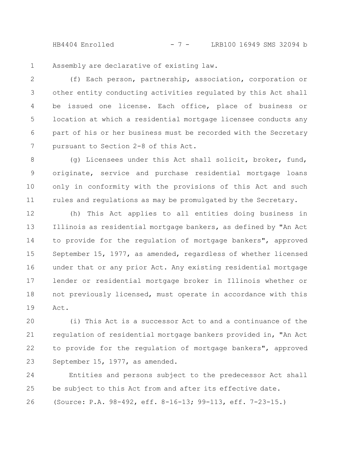HB4404 Enrolled - 7 - LRB100 16949 SMS 32094 b

Assembly are declarative of existing law. 1

(f) Each person, partnership, association, corporation or other entity conducting activities regulated by this Act shall be issued one license. Each office, place of business or location at which a residential mortgage licensee conducts any part of his or her business must be recorded with the Secretary pursuant to Section 2-8 of this Act. 2 3 4 5 6 7

(g) Licensees under this Act shall solicit, broker, fund, originate, service and purchase residential mortgage loans only in conformity with the provisions of this Act and such rules and regulations as may be promulgated by the Secretary. 8 9 10 11

(h) This Act applies to all entities doing business in Illinois as residential mortgage bankers, as defined by "An Act to provide for the regulation of mortgage bankers", approved September 15, 1977, as amended, regardless of whether licensed under that or any prior Act. Any existing residential mortgage lender or residential mortgage broker in Illinois whether or not previously licensed, must operate in accordance with this Act. 12 13 14 15 16 17 18 19

(i) This Act is a successor Act to and a continuance of the regulation of residential mortgage bankers provided in, "An Act to provide for the regulation of mortgage bankers", approved September 15, 1977, as amended. 20 21 22 23

Entities and persons subject to the predecessor Act shall be subject to this Act from and after its effective date. (Source: P.A. 98-492, eff. 8-16-13; 99-113, eff. 7-23-15.) 24 25 26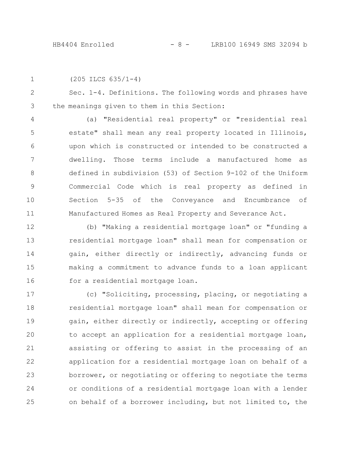|  | $(205$ ILCS $635/1-4)$ |
|--|------------------------|
|--|------------------------|

Sec. 1-4. Definitions. The following words and phrases have the meanings given to them in this Section: 2 3

(a) "Residential real property" or "residential real estate" shall mean any real property located in Illinois, upon which is constructed or intended to be constructed a dwelling. Those terms include a manufactured home as defined in subdivision (53) of Section 9-102 of the Uniform Commercial Code which is real property as defined in Section 5-35 of the Conveyance and Encumbrance of Manufactured Homes as Real Property and Severance Act. 4 5 6 7 8 9 10 11

(b) "Making a residential mortgage loan" or "funding a residential mortgage loan" shall mean for compensation or gain, either directly or indirectly, advancing funds or making a commitment to advance funds to a loan applicant for a residential mortgage loan. 12 13 14 15 16

(c) "Soliciting, processing, placing, or negotiating a residential mortgage loan" shall mean for compensation or gain, either directly or indirectly, accepting or offering to accept an application for a residential mortgage loan, assisting or offering to assist in the processing of an application for a residential mortgage loan on behalf of a borrower, or negotiating or offering to negotiate the terms or conditions of a residential mortgage loan with a lender on behalf of a borrower including, but not limited to, the 17 18 19 20 21 22 23 24 25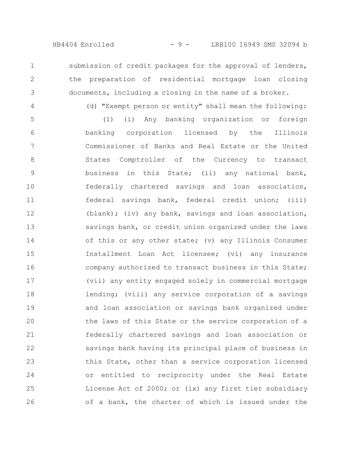(d) "Exempt person or entity" shall mean the following:

submission of credit packages for the approval of lenders, the preparation of residential mortgage loan closing documents, including a closing in the name of a broker.

4

1

2

3

(1) (i) Any banking organization or foreign banking corporation licensed by the Illinois Commissioner of Banks and Real Estate or the United States Comptroller of the Currency to transact business in this State; (ii) any national bank, federally chartered savings and loan association, federal savings bank, federal credit union; (iii) (blank); (iv) any bank, savings and loan association, savings bank, or credit union organized under the laws of this or any other state; (v) any Illinois Consumer Installment Loan Act licensee; (vi) any insurance company authorized to transact business in this State; (vii) any entity engaged solely in commercial mortgage lending; (viii) any service corporation of a savings and loan association or savings bank organized under the laws of this State or the service corporation of a federally chartered savings and loan association or savings bank having its principal place of business in this State, other than a service corporation licensed or entitled to reciprocity under the Real Estate License Act of 2000; or (ix) any first tier subsidiary of a bank, the charter of which is issued under the 5 6 7 8 9 10 11 12 13 14 15 16 17 18 19 20 21 22 23 24 25 26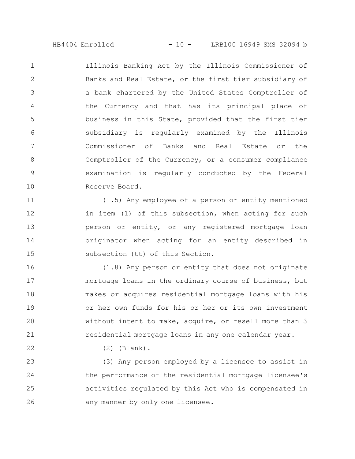HB4404 Enrolled - 10 - LRB100 16949 SMS 32094 b

Illinois Banking Act by the Illinois Commissioner of Banks and Real Estate, or the first tier subsidiary of a bank chartered by the United States Comptroller of the Currency and that has its principal place of business in this State, provided that the first tier subsidiary is regularly examined by the Illinois Commissioner of Banks and Real Estate or the Comptroller of the Currency, or a consumer compliance examination is regularly conducted by the Federal Reserve Board. 1 2 3 4 5 6 7 8 9 10

(1.5) Any employee of a person or entity mentioned in item (1) of this subsection, when acting for such person or entity, or any registered mortgage loan originator when acting for an entity described in subsection (tt) of this Section. 11 12 13 14 15

(1.8) Any person or entity that does not originate mortgage loans in the ordinary course of business, but makes or acquires residential mortgage loans with his or her own funds for his or her or its own investment without intent to make, acquire, or resell more than 3 residential mortgage loans in any one calendar year. 16 17 18 19 20 21

(2) (Blank).

22

(3) Any person employed by a licensee to assist in the performance of the residential mortgage licensee's activities regulated by this Act who is compensated in any manner by only one licensee. 23 24 25 26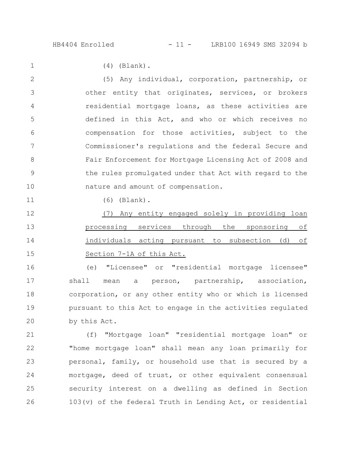1

11

(4) (Blank).

(5) Any individual, corporation, partnership, or other entity that originates, services, or brokers residential mortgage loans, as these activities are defined in this Act, and who or which receives no compensation for those activities, subject to the Commissioner's regulations and the federal Secure and Fair Enforcement for Mortgage Licensing Act of 2008 and the rules promulgated under that Act with regard to the nature and amount of compensation. 2 3 4 5 6 7 8 9 10

(6) (Blank).

(7) Any entity engaged solely in providing loan processing services through the sponsoring of individuals acting pursuant to subsection (d) of Section 7-1A of this Act. 12 13 14 15

(e) "Licensee" or "residential mortgage licensee" shall mean a person, partnership, association, corporation, or any other entity who or which is licensed pursuant to this Act to engage in the activities regulated by this Act. 16 17 18 19 20

(f) "Mortgage loan" "residential mortgage loan" or "home mortgage loan" shall mean any loan primarily for personal, family, or household use that is secured by a mortgage, deed of trust, or other equivalent consensual security interest on a dwelling as defined in Section 103(v) of the federal Truth in Lending Act, or residential 21 22 23 24 25 26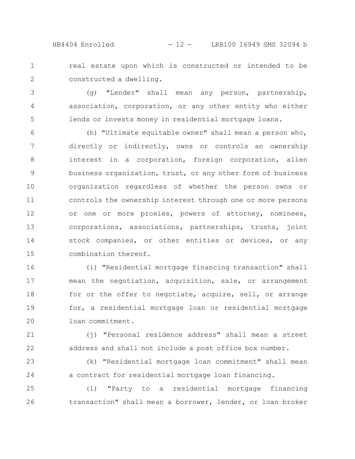HB4404 Enrolled - 12 - LRB100 16949 SMS 32094 b

real estate upon which is constructed or intended to be constructed a dwelling. 1 2

(g) "Lender" shall mean any person, partnership, association, corporation, or any other entity who either lends or invests money in residential mortgage loans. 3 4 5

(h) "Ultimate equitable owner" shall mean a person who, directly or indirectly, owns or controls an ownership interest in a corporation, foreign corporation, alien business organization, trust, or any other form of business organization regardless of whether the person owns or controls the ownership interest through one or more persons or one or more proxies, powers of attorney, nominees, corporations, associations, partnerships, trusts, joint stock companies, or other entities or devices, or any combination thereof. 6 7 8 9 10 11 12 13 14 15

(i) "Residential mortgage financing transaction" shall mean the negotiation, acquisition, sale, or arrangement for or the offer to negotiate, acquire, sell, or arrange for, a residential mortgage loan or residential mortgage loan commitment. 16 17 18 19 20

(j) "Personal residence address" shall mean a street address and shall not include a post office box number. 21 22

(k) "Residential mortgage loan commitment" shall mean a contract for residential mortgage loan financing. 23 24

(l) "Party to a residential mortgage financing transaction" shall mean a borrower, lender, or loan broker 25 26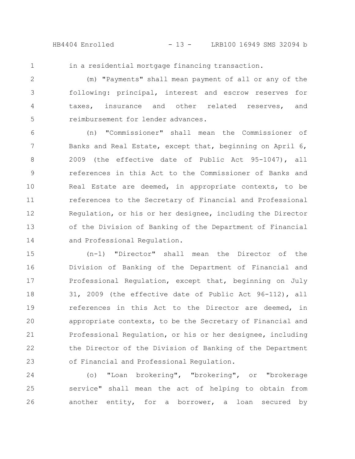HB4404 Enrolled - 13 - LRB100 16949 SMS 32094 b

1

in a residential mortgage financing transaction.

(m) "Payments" shall mean payment of all or any of the following: principal, interest and escrow reserves for taxes, insurance and other related reserves, and reimbursement for lender advances. 2 3 4 5

(n) "Commissioner" shall mean the Commissioner of Banks and Real Estate, except that, beginning on April 6, 2009 (the effective date of Public Act 95-1047), all references in this Act to the Commissioner of Banks and Real Estate are deemed, in appropriate contexts, to be references to the Secretary of Financial and Professional Regulation, or his or her designee, including the Director of the Division of Banking of the Department of Financial and Professional Regulation. 6 7 8 9 10 11 12 13 14

(n-1) "Director" shall mean the Director of the Division of Banking of the Department of Financial and Professional Regulation, except that, beginning on July 31, 2009 (the effective date of Public Act 96-112), all references in this Act to the Director are deemed, in appropriate contexts, to be the Secretary of Financial and Professional Regulation, or his or her designee, including the Director of the Division of Banking of the Department of Financial and Professional Regulation. 15 16 17 18 19 20 21 22 23

(o) "Loan brokering", "brokering", or "brokerage service" shall mean the act of helping to obtain from another entity, for a borrower, a loan secured by 24 25 26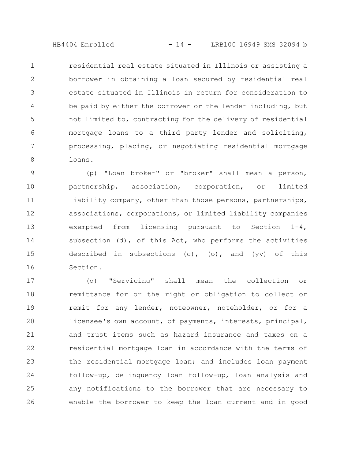HB4404 Enrolled - 14 - LRB100 16949 SMS 32094 b

residential real estate situated in Illinois or assisting a borrower in obtaining a loan secured by residential real estate situated in Illinois in return for consideration to be paid by either the borrower or the lender including, but not limited to, contracting for the delivery of residential mortgage loans to a third party lender and soliciting, processing, placing, or negotiating residential mortgage loans. 1 2 3 4 5 6 7 8

(p) "Loan broker" or "broker" shall mean a person, partnership, association, corporation, or limited liability company, other than those persons, partnerships, associations, corporations, or limited liability companies exempted from licensing pursuant to Section 1-4, subsection  $(d)$ , of this Act, who performs the activities described in subsections  $(c)$ ,  $(o)$ , and  $(yy)$  of this Section. 9 10 11 12 13 14 15 16

(q) "Servicing" shall mean the collection or remittance for or the right or obligation to collect or remit for any lender, noteowner, noteholder, or for a licensee's own account, of payments, interests, principal, and trust items such as hazard insurance and taxes on a residential mortgage loan in accordance with the terms of the residential mortgage loan; and includes loan payment follow-up, delinquency loan follow-up, loan analysis and any notifications to the borrower that are necessary to enable the borrower to keep the loan current and in good 17 18 19 20 21 22 23 24 25 26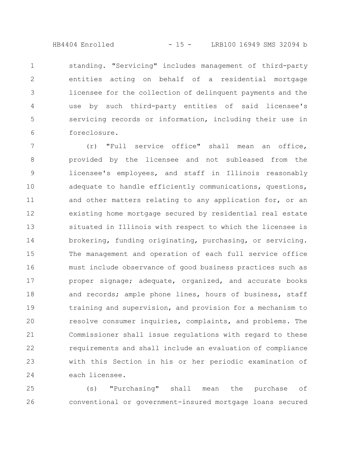HB4404 Enrolled - 15 - LRB100 16949 SMS 32094 b

standing. "Servicing" includes management of third-party entities acting on behalf of a residential mortgage licensee for the collection of delinquent payments and the use by such third-party entities of said licensee's servicing records or information, including their use in foreclosure. 1 2 3 4 5 6

(r) "Full service office" shall mean an office, provided by the licensee and not subleased from the licensee's employees, and staff in Illinois reasonably adequate to handle efficiently communications, questions, and other matters relating to any application for, or an existing home mortgage secured by residential real estate situated in Illinois with respect to which the licensee is brokering, funding originating, purchasing, or servicing. The management and operation of each full service office must include observance of good business practices such as proper signage; adequate, organized, and accurate books and records; ample phone lines, hours of business, staff training and supervision, and provision for a mechanism to resolve consumer inquiries, complaints, and problems. The Commissioner shall issue regulations with regard to these requirements and shall include an evaluation of compliance with this Section in his or her periodic examination of each licensee. 7 8 9 10 11 12 13 14 15 16 17 18 19 20 21 22 23 24

(s) "Purchasing" shall mean the purchase of conventional or government-insured mortgage loans secured 25 26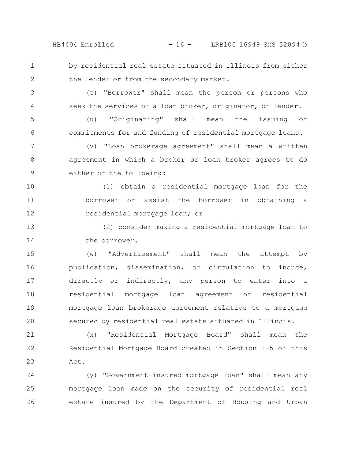HB4404 Enrolled - 16 - LRB100 16949 SMS 32094 b

by residential real estate situated in Illinois from either

1

2

(t) "Borrower" shall mean the person or persons who seek the services of a loan broker, originator, or lender. 3 4

the lender or from the secondary market.

(u) "Originating" shall mean the issuing of commitments for and funding of residential mortgage loans. 5 6

(v) "Loan brokerage agreement" shall mean a written agreement in which a broker or loan broker agrees to do either of the following: 7 8 9

(1) obtain a residential mortgage loan for the borrower or assist the borrower in obtaining a residential mortgage loan; or 10 11 12

(2) consider making a residential mortgage loan to the borrower. 13 14

(w) "Advertisement" shall mean the attempt by publication, dissemination, or circulation to induce, directly or indirectly, any person to enter into a residential mortgage loan agreement or residential mortgage loan brokerage agreement relative to a mortgage secured by residential real estate situated in Illinois. 15 16 17 18 19 20

(x) "Residential Mortgage Board" shall mean the Residential Mortgage Board created in Section 1-5 of this Act. 21 22 23

(y) "Government-insured mortgage loan" shall mean any mortgage loan made on the security of residential real estate insured by the Department of Housing and Urban 24 25 26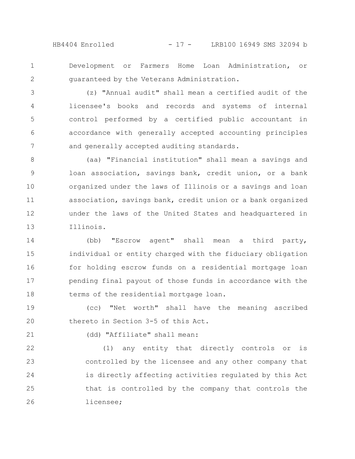HB4404 Enrolled - 17 - LRB100 16949 SMS 32094 b

Development or Farmers Home Loan Administration, or guaranteed by the Veterans Administration. 1 2

(z) "Annual audit" shall mean a certified audit of the licensee's books and records and systems of internal control performed by a certified public accountant in accordance with generally accepted accounting principles and generally accepted auditing standards. 3 4 5 6 7

(aa) "Financial institution" shall mean a savings and loan association, savings bank, credit union, or a bank organized under the laws of Illinois or a savings and loan association, savings bank, credit union or a bank organized under the laws of the United States and headquartered in Illinois. 8 9 10 11 12 13

(bb) "Escrow agent" shall mean a third party, individual or entity charged with the fiduciary obligation for holding escrow funds on a residential mortgage loan pending final payout of those funds in accordance with the terms of the residential mortgage loan. 14 15 16 17 18

(cc) "Net worth" shall have the meaning ascribed thereto in Section 3-5 of this Act. 19 20

21

(dd) "Affiliate" shall mean:

(1) any entity that directly controls or is controlled by the licensee and any other company that is directly affecting activities regulated by this Act that is controlled by the company that controls the licensee; 22 23 24 25 26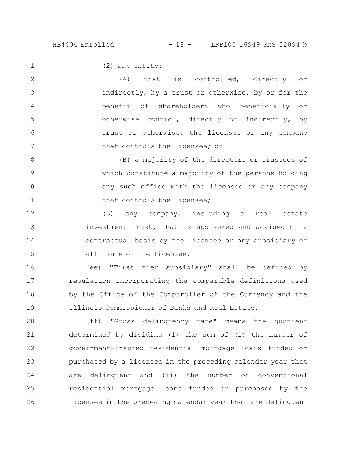1

(2) any entity:

(A) that is controlled, directly or indirectly, by a trust or otherwise, by or for the benefit of shareholders who beneficially or otherwise control, directly or indirectly, by trust or otherwise, the licensee or any company that controls the licensee; or 2 3 4 5 6 7

(B) a majority of the directors or trustees of which constitute a majority of the persons holding any such office with the licensee or any company that controls the licensee; 8 9 10 11

(3) any company, including a real estate investment trust, that is sponsored and advised on a contractual basis by the licensee or any subsidiary or affiliate of the licensee. 12 13 14 15

(ee) "First tier subsidiary" shall be defined by regulation incorporating the comparable definitions used by the Office of the Comptroller of the Currency and the Illinois Commissioner of Banks and Real Estate. 16 17 18 19

(ff) "Gross delinquency rate" means the quotient determined by dividing (1) the sum of (i) the number of government-insured residential mortgage loans funded or purchased by a licensee in the preceding calendar year that are delinquent and (ii) the number of conventional residential mortgage loans funded or purchased by the licensee in the preceding calendar year that are delinquent 20 21 22 23 24 25 26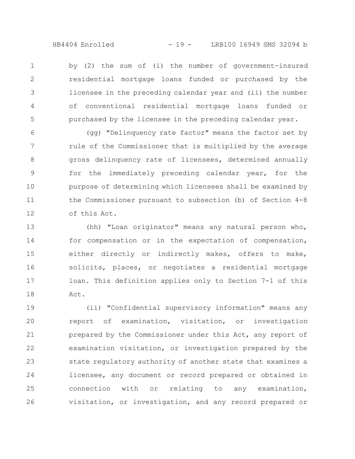HB4404 Enrolled - 19 - LRB100 16949 SMS 32094 b

by (2) the sum of (i) the number of government-insured residential mortgage loans funded or purchased by the licensee in the preceding calendar year and (ii) the number of conventional residential mortgage loans funded or purchased by the licensee in the preceding calendar year. 1 2 3 4 5

(gg) "Delinquency rate factor" means the factor set by rule of the Commissioner that is multiplied by the average gross delinquency rate of licensees, determined annually for the immediately preceding calendar year, for the purpose of determining which licensees shall be examined by the Commissioner pursuant to subsection (b) of Section 4-8 of this Act. 6 7 8 9 10 11 12

(hh) "Loan originator" means any natural person who, for compensation or in the expectation of compensation, either directly or indirectly makes, offers to make, solicits, places, or negotiates a residential mortgage loan. This definition applies only to Section 7-1 of this Act. 13 14 15 16 17 18

(ii) "Confidential supervisory information" means any report of examination, visitation, or investigation prepared by the Commissioner under this Act, any report of examination visitation, or investigation prepared by the state regulatory authority of another state that examines a licensee, any document or record prepared or obtained in connection with or relating to any examination, visitation, or investigation, and any record prepared or 19 20 21 22 23 24 25 26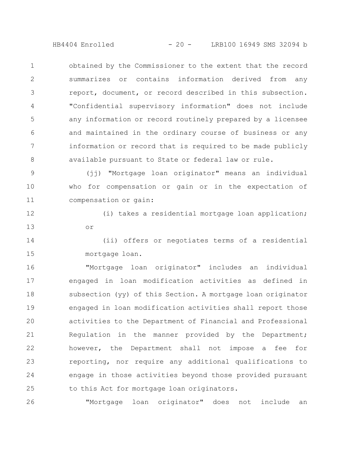HB4404 Enrolled - 20 - LRB100 16949 SMS 32094 b

obtained by the Commissioner to the extent that the record summarizes or contains information derived from any report, document, or record described in this subsection. "Confidential supervisory information" does not include any information or record routinely prepared by a licensee and maintained in the ordinary course of business or any information or record that is required to be made publicly available pursuant to State or federal law or rule. 1 2 3 4 5 6 7 8

(jj) "Mortgage loan originator" means an individual who for compensation or gain or in the expectation of compensation or gain: 9 10 11

(i) takes a residential mortgage loan application; or 12 13

(ii) offers or negotiates terms of a residential mortgage loan. 14 15

"Mortgage loan originator" includes an individual engaged in loan modification activities as defined in subsection (yy) of this Section. A mortgage loan originator engaged in loan modification activities shall report those activities to the Department of Financial and Professional Regulation in the manner provided by the Department; however, the Department shall not impose a fee for reporting, nor require any additional qualifications to engage in those activities beyond those provided pursuant to this Act for mortgage loan originators. 16 17 18 19 20 21 22 23 24 25

"Mortgage loan originator" does not include an 26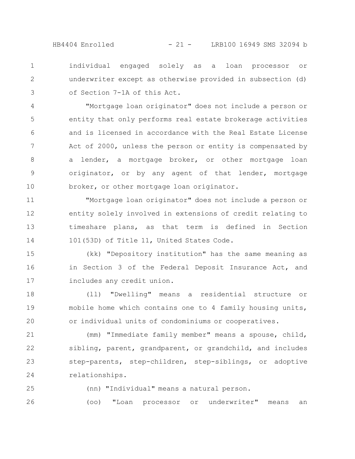HB4404 Enrolled - 21 - LRB100 16949 SMS 32094 b

individual engaged solely as a loan processor or underwriter except as otherwise provided in subsection (d) of Section 7-1A of this Act. 1 2 3

"Mortgage loan originator" does not include a person or entity that only performs real estate brokerage activities and is licensed in accordance with the Real Estate License Act of 2000, unless the person or entity is compensated by a lender, a mortgage broker, or other mortgage loan originator, or by any agent of that lender, mortgage broker, or other mortgage loan originator. 4 5 6 7 8 9 10

"Mortgage loan originator" does not include a person or entity solely involved in extensions of credit relating to timeshare plans, as that term is defined in Section 101(53D) of Title 11, United States Code. 11 12 13 14

(kk) "Depository institution" has the same meaning as in Section 3 of the Federal Deposit Insurance Act, and includes any credit union. 15 16 17

(ll) "Dwelling" means a residential structure or mobile home which contains one to 4 family housing units, or individual units of condominiums or cooperatives. 18 19 20

(mm) "Immediate family member" means a spouse, child, sibling, parent, grandparent, or grandchild, and includes step-parents, step-children, step-siblings, or adoptive relationships. 21 22 23 24

- 25
- (nn) "Individual" means a natural person.

(oo) "Loan processor or underwriter" means an 26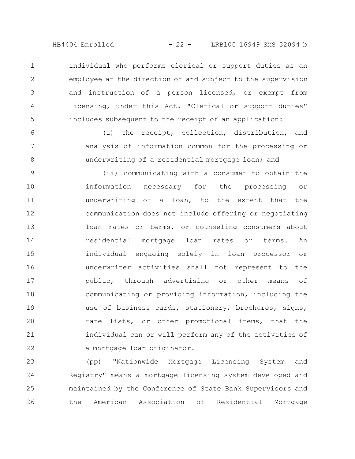HB4404 Enrolled - 22 - LRB100 16949 SMS 32094 b

individual who performs clerical or support duties as an employee at the direction of and subject to the supervision and instruction of a person licensed, or exempt from licensing, under this Act. "Clerical or support duties" includes subsequent to the receipt of an application: 1 2 3 4 5

(i) the receipt, collection, distribution, and analysis of information common for the processing or underwriting of a residential mortgage loan; and 6 7 8

(ii) communicating with a consumer to obtain the information necessary for the processing or underwriting of a loan, to the extent that the communication does not include offering or negotiating loan rates or terms, or counseling consumers about residential mortgage loan rates or terms. An individual engaging solely in loan processor or underwriter activities shall not represent to the public, through advertising or other means of communicating or providing information, including the use of business cards, stationery, brochures, signs, rate lists, or other promotional items, that the individual can or will perform any of the activities of a mortgage loan originator. 9 10 11 12 13 14 15 16 17 18 19 20 21 22

(pp) "Nationwide Mortgage Licensing System and Registry" means a mortgage licensing system developed and maintained by the Conference of State Bank Supervisors and the American Association of Residential Mortgage 23 24 25 26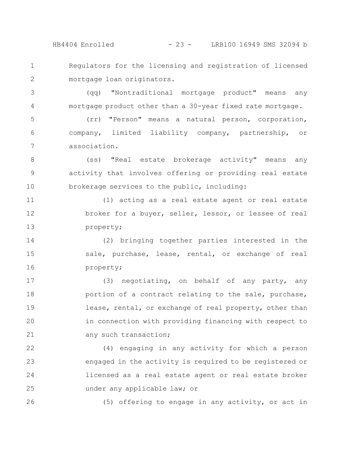HB4404 Enrolled - 23 - LRB100 16949 SMS 32094 b

Regulators for the licensing and registration of licensed mortgage loan originators. 1 2

(qq) "Nontraditional mortgage product" means any mortgage product other than a 30-year fixed rate mortgage. 3 4

(rr) "Person" means a natural person, corporation, company, limited liability company, partnership, or association. 5 6 7

(ss) "Real estate brokerage activity" means any activity that involves offering or providing real estate brokerage services to the public, including: 8 9 10

(1) acting as a real estate agent or real estate broker for a buyer, seller, lessor, or lessee of real property; 11 12 13

(2) bringing together parties interested in the sale, purchase, lease, rental, or exchange of real property; 14 15 16

(3) negotiating, on behalf of any party, any portion of a contract relating to the sale, purchase, lease, rental, or exchange of real property, other than in connection with providing financing with respect to any such transaction; 17 18 19 20 21

(4) engaging in any activity for which a person engaged in the activity is required to be registered or licensed as a real estate agent or real estate broker under any applicable law; or 22 23 24 25

26

(5) offering to engage in any activity, or act in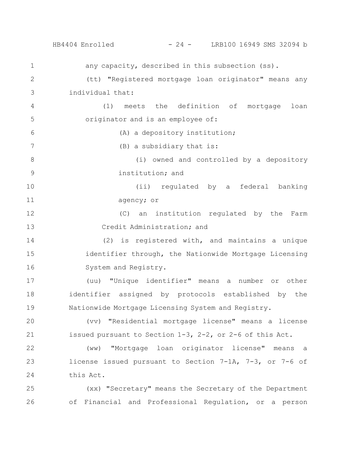HB4404 Enrolled - 24 - LRB100 16949 SMS 32094 b

any capacity, described in this subsection (ss). (tt) "Registered mortgage loan originator" means any individual that: (1) meets the definition of mortgage loan originator and is an employee of: (A) a depository institution; (B) a subsidiary that is: (i) owned and controlled by a depository institution; and (ii) regulated by a federal banking agency; or (C) an institution regulated by the Farm Credit Administration; and (2) is registered with, and maintains a unique identifier through, the Nationwide Mortgage Licensing System and Registry. (uu) "Unique identifier" means a number or other identifier assigned by protocols established by the Nationwide Mortgage Licensing System and Registry. (vv) "Residential mortgage license" means a license issued pursuant to Section 1-3, 2-2, or 2-6 of this Act. (ww) "Mortgage loan originator license" means a license issued pursuant to Section 7-1A, 7-3, or 7-6 of this Act. (xx) "Secretary" means the Secretary of the Department of Financial and Professional Regulation, or a person 1 2 3 4 5 6 7 8 9 10 11 12 13 14 15 16 17 18 19 20 21 22 23 24 25 26